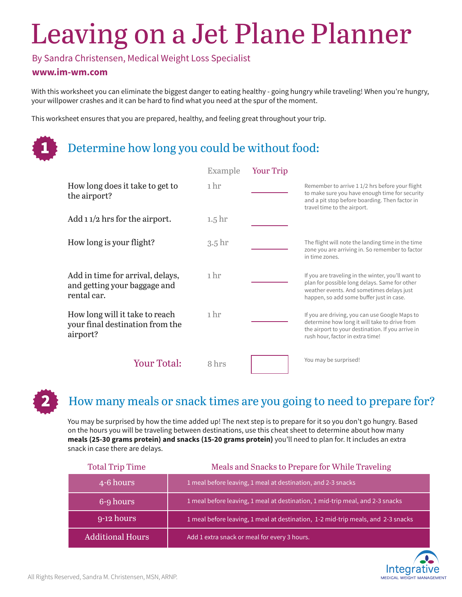# Leaving on a Jet Plane Planner

By Sandra Christensen, Medical Weight Loss Specialist

#### **www.im-wm.com**

1

With this worksheet you can eliminate the biggest danger to eating healthy - going hungry while traveling! When you're hungry, your willpower crashes and it can be hard to find what you need at the spur of the moment.

This worksheet ensures that you are prepared, healthy, and feeling great throughout your trip.

### Determine how long you could be without food:

|                                                                                 | Example           | <b>Your Trip</b> |                                                                                                                                                                                              |
|---------------------------------------------------------------------------------|-------------------|------------------|----------------------------------------------------------------------------------------------------------------------------------------------------------------------------------------------|
| How long does it take to get to<br>the airport?                                 | 1 hr              |                  | Remember to arrive 1 1/2 hrs before your flight<br>to make sure you have enough time for security<br>and a pit stop before boarding. Then factor in<br>travel time to the airport.           |
| Add $11/2$ hrs for the airport.                                                 | 1.5 <sup>hr</sup> |                  |                                                                                                                                                                                              |
| How long is your flight?                                                        | 3.5 <sup>hr</sup> |                  | The flight will note the landing time in the time<br>zone you are arriving in. So remember to factor<br>in time zones.                                                                       |
| Add in time for arrival, delays,<br>and getting your baggage and<br>rental car. | 1 hr              |                  | If you are traveling in the winter, you'll want to<br>plan for possible long delays. Same for other<br>weather events. And sometimes delays just<br>happen, so add some buffer just in case. |
| How long will it take to reach<br>your final destination from the<br>airport?   | 1 <sub>hr</sub>   |                  | If you are driving, you can use Google Maps to<br>determine how long it will take to drive from<br>the airport to your destination. If you arrive in<br>rush hour, factor in extra time!     |
| <b>Your Total:</b>                                                              | 8 hrs             |                  | You may be surprised!                                                                                                                                                                        |

#### 2 How many meals or snack times are you going to need to prepare for?

You may be surprised by how the time added up! The next step is to prepare for it so you don't go hungry. Based on the hours you will be traveling between destinations, use this cheat sheet to determine about how many **meals (25-30 grams protein) and snacks (15-20 grams protein)** you'll need to plan for. It includes an extra snack in case there are delays.

| <b>Total Trip Time</b>  | Meals and Snacks to Prepare for While Traveling                                  |
|-------------------------|----------------------------------------------------------------------------------|
| 4-6 hours               | 1 meal before leaving, 1 meal at destination, and 2-3 snacks                     |
| 6-9 hours               | 1 meal before leaving, 1 meal at destination, 1 mid-trip meal, and 2-3 snacks    |
| $9-12$ hours            | 1 meal before leaving, 1 meal at destination, 1-2 mid-trip meals, and 2-3 snacks |
| <b>Additional Hours</b> | Add 1 extra snack or meal for every 3 hours.                                     |